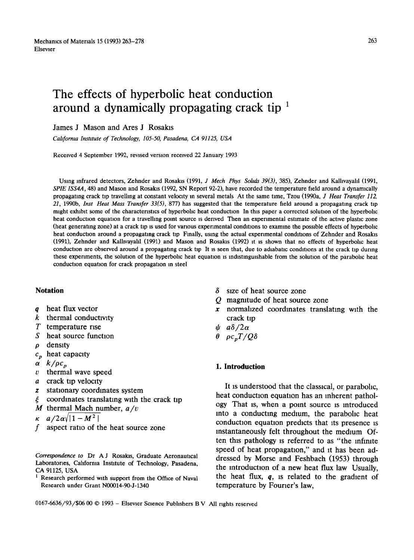# **The effects of hyperbolic heat conduction around a dynamically propagating crack tip**

James J Mason and Ares J Rosakls

*Cahforma Institute of Technology, 105-50, Pasadena, CA 91125, USA* 

Recewed 4 September 1992, revised version received 22 January 1993

Using infrared detectors, Zehnder and Rosakls (1991, *J Mech Phys Sohds 39(3),* 385), Zehnder and Kalhvayahl (1991, *SPIE ISS4A,* 48) and Mason and Rosakls (1992, SN Report 92-2), have recorded the temperature field around a dynamically propagating crack tip travelling at constant velocity m several metals At the same time, Tzou (1990a, *J Heat Transfer 112, 21,* 1990b, *Inst Heat Mass Transfer 33(5),* 877) has suggested that the temperature field around a propagating crack tip might exhibit some of the characteristics of hyperbolic heat conduction In this paper a corrected solution of the hyperbolic heat conduction equation for a travelling point source is derived. Then an experimental estimate of the active plastic zone (heat generating zone) at a crack tip is used for various experimental conditions to examine the possible effects of hyperbohc heat conduction around a propagating crack tip Finally, using the actual experimental conditions of Zehnder and Rosakis (1991), Zehnder and Kallivayalil (1991) and Mason and Rosakis (1992) it is shown that no effects of hyperbolic heat conduction are observed around a propagating crack tip It is seen that, due to adiabatic conditions at the crack tip during these experiments, the solution of the hyperbolic heat equation is indistinguishable from the solution of the parabolic heat conduction equation for crack propagation in steel

## **Notation**

- q heat flux vector
- $k$  thermal conductivity
- T temperature rise
- S heat source function
- $\rho$  density
- *cp* heat capacity
- $\alpha$   $k/\rho c_p$
- $v$  thermal wave speed
- a crack tip velocity
- z stationary coordinates system
- $\epsilon$  coordinates translating with the crack tip
- M thermal Mach number, *a/v*

$$
\kappa \quad a/2\alpha/|1-M^2|
$$

f aspect ratio of the heat source zone

*Correspondence to* Dr A J Rosakls, Graduate Aeronautical Laboratories, Cahfornia Institute of Technology, Pasadena, CA 91125, USA

Research performed with support from the Office of Naval Research under Grant N00014-90-J-1340

- $\delta$  size of heat source zone
- Q magnitude of heat source zone
- x normalized coordinates translating with the crack tip
- $\psi$   $a\delta/2\alpha$
- $\theta$   $\rho c_p T / Q \delta$

## **I. Introduction**

It is understood that the classical, or parabolic, heat conduction equation has an inherent pathology That is, when a point source is introduced Into a conducting medium, the parabolic heat conduction equation predicts that its presence is Instantaneously felt throughout the medium Often this pathology is referred to as "the infinite speed of heat propagation," and it has been addressed by Morse and Feshbach (1953) through the Introduction of a new heat flux law Usually, the heat flux,  $q$ , is related to the gradient of temperature by Fourier's law,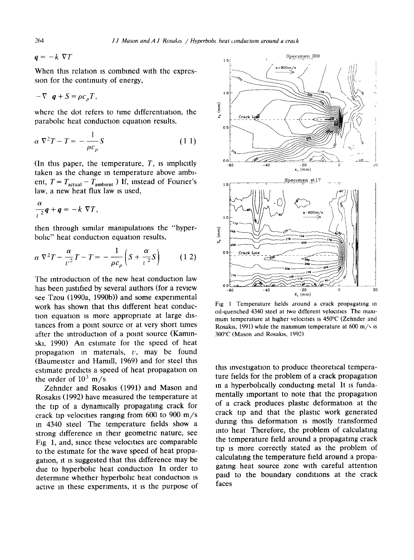$q = -k \nabla T$ 

When this relation is combined with the expression for the contmulty of energy,

$$
-\nabla \cdot \boldsymbol{q} + S = \rho c_p T.
$$

where the dot refers to time differentiation, the parabolic heat conduction equation results,

$$
\alpha \nabla^2 T - T = -\frac{1}{\rho c_p} S \tag{1.1}
$$

(In this paper, the temperature,  $T$ , is implicitly taken as the change in temperature above ambient,  $T = T_{actual} - T_{ambient}$ ) If, instead of Fourier's law, a new heat flux law is used,

$$
\frac{\alpha}{\iota^2}\bm{q}+\bm{q}=-k\nabla T,
$$

then through similar manipulations the "hyperbohc" heat conduction equation results,

$$
\alpha \nabla^2 T - \frac{\alpha}{v^2} T - T = -\frac{1}{\rho c_p} \left( S + \frac{\alpha}{v^2} S \right) \tag{1.2}
$$

The introduction of the new heat conduction law has been justified by several authors (for a rewew see Tzou (1990a, 1990b)) and some experimental work has shown that this different heat conduction equation is more appropriate at large distances from a point source or at very short times after the introduction of a point source (Kaminski, 1990) An estimate for the speed of heat propagation in materials,  $v$ , may be found (Baumeister and Hamill, 1969) and for steel this estimate predicts a speed of heat propagation on the order of  $10^3$  m/s

Zehnder and Rosakis (1991) and Mason and Rosakls (1992) have measured the temperature at the tip of a dynamically propagating crack for crack tip velocities ranging from 600 to 900 m/s in 4340 steel The temperature fields show a strong difference in their geometric nature, see Fig 1, and, since these velocities are comparable to the estimate for the wave speed of heat propagation, it is suggested that this difference may be due to hyperbolic heat conduction In order to determme whether hyperbohc heat conduction is active in these experiments, it is the purpose of



Fig 1 Temperature fields around a crack propagating in oil-quenched 4340 steel at two different velocities. The maximum temperature at higher velocities is 450°C (Zehnder and Rosakis, 1991) while the maximum temperature at  $600 \text{ m/s}$  is 300°C (Mason and Rosakis, 1992)

this investigation to produce theoretical temperature fields for the problem of a crack propagation in a hyperbolically conducting metal It is fundamentally important to note that the propagation of a crack produces plastic deformation at the crack tip and that the plastic work generated during this deformation is mostly transformed into heat Therefore, the problem of calculating the temperature field around a propagating crack tip lS more correctly stated as the problem of calculating the temperature field around a propagating heat source zone with careful attentton paid to the boundary conditions at the crack faces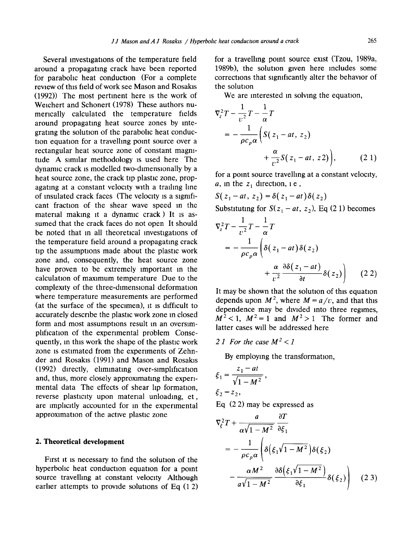Several investigations of the temperature field around a propagating crack have been reported for parabolic heat conduction (For a complete review of this field of work see Mason and Rosakls (1992)) The most pertinent here is the work of Weichert and Schonert (1978) These authors numerically calculated the temperature fields around propagating heat source zones by Integrating the solution of the parabolic heat conduction equation for a travelling point source over a rectangular heat source zone of constant magnitude A similar methodology is used here The dynamic crack is modelled two-dimensionally by a heat source zone, the crack tip plastic zone, propagating at a constant velocity with a trailing line of insulated crack faces (The velocity is a significant fraction of the shear wave speed in the material making it a dynamic crack ) It is assumed that the crack faces do not open It should be noted that in all theoretical investigations of the temperature field around a propagating crack tip the assumptions made about the plastic work zone and, consequently, the heat source zone have proven to be extremely important in the calculation of maximum temperature Due to the complexity of the three-dimensional deformation where temperature measurements are performed (at the surface of the specimen), it is difficult to accurately describe the plastic work zone in closed form and most assumptions result in an oversimplification of the experimental problem Consequently, in this work the shape of the plastic work zone is estimated from the experiments of Zehnder and Rosakis (1991) and Mason and Rosakls (1992) directly, eliminating over-simplification and, thus, more closely approximating the experimental data The effects of shear lip formation, reverse plasticity upon material unloading, et, are implicitly accounted for In the experimental approximation of the actwe plastic zone

# **2. Theoretical development**

First it is necessary to find the solution of the hyperbolic heat conduction equation for a point source travelling at constant velocity Although earlier attempts to provide solutions of Eq  $(1 2)$  for a travelling point source exist (Tzou, 1989a, 1989b), the solution given here includes some corrections that significantly alter the behavior of the solution

We are interested in solving the equation,

$$
\nabla_{z}^{2} T - \frac{1}{v^{2}} T - \frac{1}{\alpha} T
$$
  
=  $-\frac{1}{\rho c_{p} \alpha} \left( S(z_{1} - at, z_{2}) + \frac{\alpha}{v^{2}} S(z_{1} - at, z_{2}) \right),$  (2.1)

for a point source travelling at a constant velocity, a, in the  $z_1$  direction, i.e.,

 $S(z_1 - at, z_2) = \delta(z_1 - at)\delta(z_2)$ 

Substituting for  $S(z_1 - at, z_2)$ , Eq (2 1) becomes

$$
\nabla_z^2 T - \frac{1}{v^2} T - \frac{1}{\alpha} T
$$
  
= 
$$
-\frac{1}{\rho c_p \alpha} \left( \delta(z_1 - at) \delta(z_2) + \frac{\alpha}{v^2} \frac{\partial \delta(z_1 - at)}{\partial t} \delta(z_2) \right)
$$
 (2.2)

It may be shown that the solution of this equation depends upon  $M^2$ , where  $M = a/v$ , and that this dependence may be divided into three regimes,  $M^2$  < 1,  $M^2$  = 1 and  $M^2$  > 1 The former and latter cases will be addressed here

2.1 For the case  $M^2 < 1$ 

By employing the transformation,

$$
\xi_1 = \frac{z_1 - at}{\sqrt{1 - M^2}},
$$
  
\n
$$
\xi_2 = z_2,
$$
  
\nEq. (2.2) may be a

Eq (2 2) may be expressed as

$$
\nabla_{\xi}^{2}T + \frac{a}{\alpha\sqrt{1 - M^{2}}}\frac{\partial T}{\partial \xi_{1}}
$$
  
= 
$$
-\frac{1}{\rho c_{\rho}\alpha}\left(\delta\left(\xi_{1}\sqrt{1 - M^{2}}\right)\delta(\xi_{2}) - \frac{\alpha M^{2}}{a\sqrt{1 - M^{2}}}\frac{\partial\delta\left(\xi_{1}\sqrt{1 - M^{2}}\right)}{\partial \xi_{1}}\delta(\xi_{2})\right)
$$
(2 3)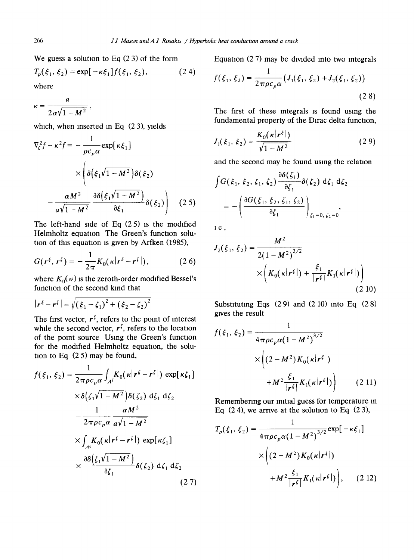We guess a solution to Eq  $(2 3)$  of the form

$$
T_p(\xi_1, \xi_2) = \exp[-\kappa \xi_1] f(\xi_1, \xi_2), \qquad (2\ 4)
$$
  
where

a  $\lambda = 2\pi \sqrt{1 - M^2}$ 

which, when inserted in Eq (23), yields

$$
\nabla_{\xi}^{2} f - \kappa^{2} f = -\frac{1}{\rho c_{p} \alpha} \exp[\kappa \xi_{1}]
$$

$$
\times \left( \delta \left( \xi_{1} \sqrt{1 - M^{2}} \right) \delta(\xi_{2}) - \frac{\alpha M^{2}}{a \sqrt{1 - M^{2}}} \frac{\partial \delta \left( \xi_{1} \sqrt{1 - M^{2}} \right)}{\partial \xi_{1}} \delta(\xi_{2}) \right) \quad (2.5)
$$

The left-hand side of Eq  $(25)$  is the modified Helmholtz equation The Green's function solution of this equation is given by Arfken (1985),

$$
G(\mathbf{r}^{\xi}, \mathbf{r}^{\zeta}) = -\frac{1}{2\pi} K_0(\kappa |\mathbf{r}^{\xi} - \mathbf{r}^{\zeta}|), \qquad (2.6)
$$

where  $K_0(w)$  is the zeroth-order modified Bessel's function of the second kind that

$$
|\mathbf{r}^{\xi} - \mathbf{r}^{\zeta}| = \sqrt{(\xi_1 - \zeta_1)^2 + (\xi_2 - \zeta_2)^2}
$$

The first vector,  $r^{\xi}$ , refers to the point of interest while the second vector,  $r^{\zeta}$ , refers to the location of the point source Using the Green's function for the modified Helmholtz equation, the solution to Eq (2 5) may be found,

$$
f(\xi_1, \xi_2) = \frac{1}{2\pi \rho c_p \alpha} \int_{A^{\zeta}} K_0(\kappa |r^{\xi} - r^{\zeta}|) \exp[\kappa \zeta_1]
$$
  
 
$$
\times \delta(\zeta_1 \sqrt{1 - M^2}) \delta(\zeta_2) d\zeta_1 d\zeta_2
$$
  
 
$$
- \frac{1}{2\pi \rho c_p \alpha} \frac{\alpha M^2}{a \sqrt{1 - M^2}}
$$
  
 
$$
\times \int_{A^{\zeta}} K_0(\kappa |r^{\xi} - r^{\zeta}|) \exp[\kappa \zeta_1]
$$
  
 
$$
\times \frac{\partial \delta(\zeta_1 \sqrt{1 - M^2})}{\partial \zeta_1} \delta(\zeta_2) d\zeta_1 d\zeta_2
$$
  
(27)

Equation  $(2 7)$  may be divided into two integrals

$$
f(\xi_1, \xi_2) = \frac{1}{2\pi \rho c_p \alpha} \left( J_1(\xi_1, \xi_2) + J_2(\xi_1, \xi_2) \right)
$$
\n(2.8)

The first of these integrals is found using the fundamental property of the Dirac delta function,

$$
J_1(\xi_1, \xi_2) = \frac{K_0(\kappa |r^{\xi}|)}{\sqrt{1 - M^2}}
$$
 (2.9)

and the second may be found using the relation

$$
\int G(\xi_1, \xi_2, \zeta_1, \zeta_2) \frac{\partial \delta(\zeta_1)}{\partial \zeta_1} \delta(\zeta_2) d\zeta_1 d\zeta_2
$$
  
= 
$$
- \left( \frac{\partial G(\xi_1, \xi_2, \zeta_1, \zeta_2)}{\partial \zeta_1} \right)_{\zeta_1 = 0, \zeta_2 = 0},
$$

ie,

$$
J_2(\xi_1, \xi_2) = \frac{M^2}{2(1 - M^2)^{3/2}}\n\times \left(K_0(\kappa | \mathbf{r}^{\xi}|) + \frac{\xi_1}{|\mathbf{r}^{\xi}|} K_1(\kappa | \mathbf{r}^{\xi}|)\right)
$$
\n(2.10)

Substituting Eqs (2 9) and (2 10) into Eq (2 8) gives the result

$$
f(\xi_1, \xi_2) = \frac{1}{4\pi\rho c_p \alpha (1 - M^2)^{3/2}}
$$

$$
\times \left( (2 - M^2) K_0(\kappa |r^{\xi}|) + M^2 \frac{\xi_1}{|r^{\xi}|} K_1(\kappa |r^{\xi}|) \right) \qquad (2.11)
$$

Remembering our initial guess for temperature In Eq  $(24)$ , we arrive at the solution to Eq  $(23)$ ,

$$
T_p(\xi_1, \xi_2) = \frac{1}{4 \pi \rho c_p \alpha (1 - M^2)^{3/2}} \exp[-\kappa \xi_1]
$$
  
 
$$
\times \left( (2 - M^2) K_0(\kappa |r^{\xi}|) + M^2 \frac{\xi_1}{|r^{\xi}|} K_1(\kappa |r^{\xi}|) \right), \quad (2.12)
$$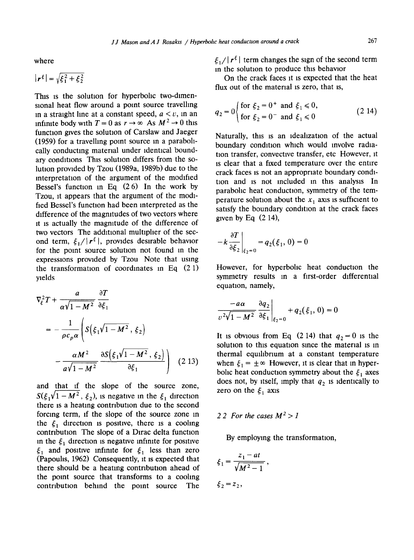where

$$
|\mathbf{r}^{\xi}| = \sqrt{\xi_1^2 + \xi_2^2}
$$

This is the solution for hyperbolic two-dimensional heat flow around a point source travelling in a straight line at a constant speed,  $a < v$ , in an infinite body with  $T = 0$  as  $r \to \infty$  As  $M^2 \to 0$  this function gives the solution of Carslaw and Jaeger (1959) for a travelhng point source in a parabollcally conducting material under identical boundary conditions This solution differs from the solution provided by Tzou (1989a, 1989b) due to the interpretation of the argument of the modified Bessel's function in Eq  $(2 6)$  In the work by Tzou, it appears that the argument of the modified Bessel's function had been interpreted as the difference of the magnitudes of two vectors where it is actually the magnitude of the difference of two vectors The additional multiplier of the second term,  $\xi_1/|r^{\xi}|$ , provides desirable behavior for the point source solution not found m the expressions provided by Tzou Note that using the transformation of coordinates in Eq  $(2 1)$ yields

$$
\nabla_{\xi}^{2}T + \frac{a}{\alpha\sqrt{1 - M^{2}}}\frac{\partial T}{\partial \xi_{1}}
$$
  
= 
$$
-\frac{1}{\rho c_{p}\alpha}\left(S(\xi_{1}\sqrt{1 - M^{2}}, \xi_{2}) - \frac{\alpha M^{2}}{a\sqrt{1 - M^{2}}}\frac{\partial S(\xi_{1}\sqrt{1 - M^{2}}, \xi_{2})}{\partial \xi_{1}}\right)
$$
(2.13)

and that if the slope of the source zone,  $S(\xi_1\sqrt{1-M^2}, \xi_2)$ , is negative in the  $\xi_1$  direction there is a heating contribution due to the second forcing term, if the slope of the source zone in the  $\xi_1$  direction is positive, there is a cooling contribution The slope of a Dirac delta function in the  $\xi_1$  direction is negative infinite for positive  $\xi_1$  and positive infinite for  $\xi_1$  less than zero  $(Pa$ poulis, 1962) Consequently, it is expected that there should be a heating contribution ahead of the point source that transforms to a cooling contribution behind the point source The  $\xi_1/|\mathbf{r}^{\xi}|$  term changes the sign of the second term in the solution to produce this behavior

On the crack faces it is expected that the heat flux out of the material is zero, that is,

$$
q_2 = 0 \begin{cases} \text{for } \xi_2 = 0^+ \text{ and } \xi_1 \le 0, \\ \text{for } \xi_2 = 0^- \text{ and } \xi_1 \le 0 \end{cases}
$$
 (2.14)

Naturally, this is an idealization of the actual boundary condition which would involve radiation transfer, convective transfer, etc However, it is clear that a fixed temperature over the entire crack faces is not an appropriate boundary condition and is not included in this analysis In parabolic heat conduction, symmetry of the temperature solution about the  $x_1$  axis is sufficient to satisfy the boundary condition at the crack faces given by Eq  $(2 14)$ ,

$$
-k\frac{\partial T}{\partial \xi_2}\bigg|_{\xi_2=0} = q_2(\xi_1, 0) = 0
$$

However, for hyperbolic heat conduction the symmetry results m a first-order differential equation, namely,

$$
\left. \frac{-a\alpha}{v^2\sqrt{1-M^2}} \frac{\partial q_2}{\partial \xi_1} \right|_{\xi_2=0} + q_2(\xi_1, 0) = 0
$$

It is obvious from Eq (2.14) that  $q_2 = 0$  is the solution to this equation since the material is in thermal equlhbrium at a constant temperature when  $\xi_1 = \pm \infty$  However, it is clear that in hyperbolic heat conduction symmetry about the  $\xi_1$  axes does not, by itself, imply that  $q_2$  is identically to zero on the  $\xi_1$  axis

# 2 2 For the cases  $M^2 > 1$

By employing the transformation,

$$
\xi_1 = \frac{z_1 - at}{\sqrt{M^2 - 1}}
$$

$$
\xi_2 = z_2,
$$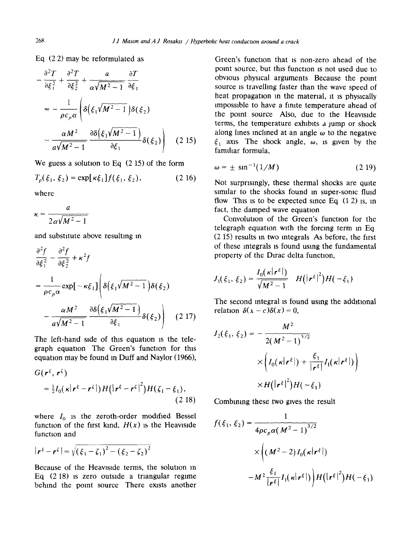Eq (2 2) may be reformulated as

$$
-\frac{\partial^2 T}{\partial \xi_1^2} + \frac{\partial^2 T}{\partial \xi_2^2} + \frac{a}{\alpha \sqrt{M^2 - 1}} \frac{\partial T}{\partial \xi_1}
$$
  

$$
= -\frac{1}{\rho c_\rho \alpha} \left( \delta \left( \xi_1 \sqrt{M^2 - 1} \right) \delta(\xi_2) - \frac{\alpha M^2}{\alpha \sqrt{M^2 - 1}} \frac{\partial \delta \left( \xi_1 \sqrt{M^2 - 1} \right)}{\partial \xi_1} \delta(\xi_2) \right) \quad (2.15)
$$

**We guess a** solution to Eq (2 15) of the form

$$
T_p(\xi_1, \xi_2) = \exp[\kappa \xi_1] f(\xi_1, \xi_2), \qquad (2.16)
$$

where

a  $2\alpha\sqrt{M^2-1}$ 

and substitute above resulting in

$$
\frac{\partial^2 f}{\partial \xi_1^2} - \frac{\partial^2 f}{\partial \xi_2^2} + \kappa^2 f
$$
  
= 
$$
\frac{1}{\rho c_p \alpha} \exp[-\kappa \xi_1] \left( \delta(\xi_1 \sqrt{M^2 - 1}) \delta(\xi_2) - \frac{\alpha M^2}{a \sqrt{M^2 - 1}} \frac{\partial \delta(\xi_1 \sqrt{M^2 - 1})}{\partial \xi_1} \delta(\xi_2) \right)
$$
(2.17)

The left-hand side of this equation is the telegraph equation The Green's function for this equation may be found in Duff and Naylor (1966),

$$
G(\mathbf{r}^{\xi}, \mathbf{r}^{\zeta})
$$
  
=  $\frac{1}{2}I_0(\kappa|\mathbf{r}^{\xi} - \mathbf{r}^{\zeta}|)H(|\mathbf{r}^{\xi} - \mathbf{r}^{\zeta}|^2)H(\zeta_1 - \xi_1),$  (2.18)

where  $I_0$  is the zeroth-order modified Bessel function of the first kind,  $H(x)$  is the Heaviside function and

$$
|\mathbf{r}^{\xi} - \mathbf{r}^{\zeta}| = \sqrt{(\xi_1 - \zeta_1)^2 - (\xi_2 - \zeta_2)^2}
$$

Because of the Heavlslde terms, the solution in Eq (2 18) is zero outside a triangular regime behind the point source There exists another Green's function that IS non-zero ahead of the point source, but this function 1s not used due to obvious physical arguments Because the point source is travelling faster than the wave speed of heat propagation in the material, it is physically impossible to have a finite temperature ahead of the point source Also, due to the Heaviside terms, the temperature exhibits a jump or shock along lines inclined at an angle  $\omega$  to the negative  $\xi_1$  axis The shock angle,  $\omega$ , is given by the familiar formula,

$$
\omega = \pm \, \sin^{-1}(1/M) \tag{2.19}
$$

Not surprisingly, these thermal shocks are quite similar to the shocks found in super-some fluid flow This is to be expected since Eq  $(1\ 2)$  is, in fact, the damped wave equation

Convolution of the Green's function for the telegraph equation with the forcing term in Eq. (2 15) results in two Integrals As before, the first of these integrals is found using the fundamental property of the Dlrac delta function,

$$
J_1(\xi_1, \xi_2) = \frac{I_0(\kappa |r^{\xi}|)}{\sqrt{M^2 - 1}} \quad H(|r^{\xi}|^2)H(-\xi_1)
$$

The second integral is found using the additional relation  $\delta(x-c)\delta(x) = 0$ ,

$$
J_2(\xi_1, \xi_2) = -\frac{M^2}{2(M^2 - 1)^{3/2}}
$$

$$
\times \left( I_0(\kappa | \mathbf{r}^{\xi}|) + \frac{\xi_1}{|\mathbf{r}^{\xi}|} I_1(\kappa | \mathbf{r}^{\xi}|) \right)
$$

$$
\times H(|\mathbf{r}^{\xi}|^2) H(-\xi_1)
$$

Combining these two gives the result

$$
f(\xi_1, \xi_2) = \frac{1}{4\rho c_p \alpha (M^2 - 1)^{3/2}}
$$

$$
\times \left( (M^2 - 2) I_0(\kappa |r^{\xi}|) - M^2 \frac{\xi_1}{|r^{\xi}|} I_1(\kappa |r^{\xi}|) \right) H(|r^{\xi}|^2) H(-\xi_1)
$$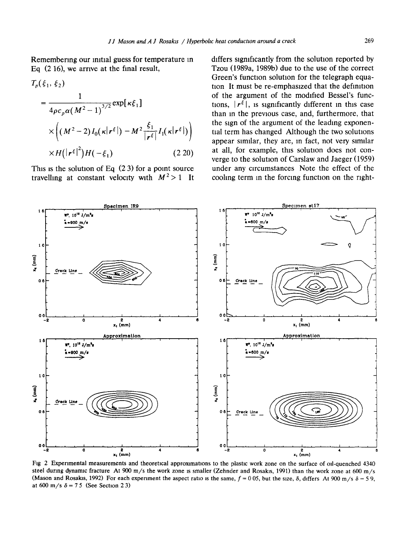Remembermg our initial guess for temperature in Eq (2 16), we arrive at the final result,

$$
T_p(\xi_1, \xi_2)
$$
  
= 
$$
\frac{1}{4\rho c_p \alpha (M^2 - 1)^{3/2}} \exp[\kappa \xi_1]
$$
  

$$
\times \left( (M^2 - 2) I_0(\kappa |r^{\xi}|) - M^2 \frac{\xi_1}{|r^{\xi}|} I_1(\kappa |r^{\xi}|) \right)
$$
  

$$
\times H(|r^{\xi}|^2) H(-\xi_1)
$$
(2.20)

This is the solution of Eq  $(2 3)$  for a point source travelling at constant velocity with  $M^2 > 1$  It differs significantly from the solution reported by Tzou (1989a, 1989b) due to the use of the correct Green's function solution for the telegraph equation It must be re-emphasized that the definition of the argument of the modified Bessel's functions,  $|r^{\xi}|$ , is significantly different in this case than in the previous case, and, furthermore, that the sign of the argument of the leading exponential term has changed Although the two solutions appear similar, they are, in fact, not very similar at all, for example, this solution does not converge to the solution of Carslaw and Jaeger (1959) under any circumstances Note the effect of the cooling term in the forcing function on the right-



Fig 2 Experimental measurements and theoretical approximations to the plastic work zone on the surface of oil-quenched 4340 steel during dynamic fracture At 900 m/s the work zone is smaller (Zehnder and Rosakis, 1991) than the work zone at 600 m/s (Mason and Rosakis, 1992) For each experiment the aspect ratio is the same,  $f = 0.05$ , but the size,  $\delta$ , differs At 900 m/s  $\delta = 5.9$ , at 600 m/s  $\delta = 75$  (See Section 2.3)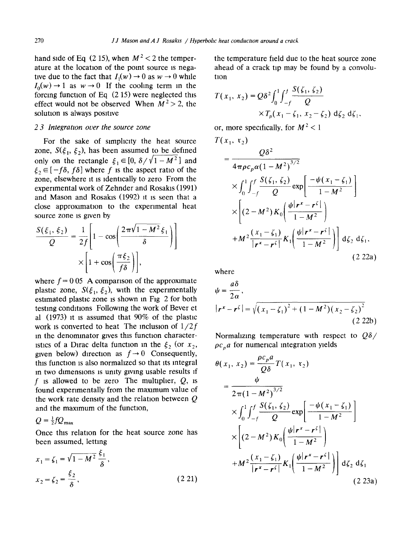hand side of Eq (2.15), when  $M^2 < 2$  the temperature at the location of the point source is negative due to the fact that  $I_1(w) \rightarrow 0$  as  $w \rightarrow 0$  while  $I_0(w) \rightarrow 1$  as  $w \rightarrow 0$  If the cooling term in the forcing function of Eq (2 15) were neglected this effect would not be observed When  $M^2 > 2$ , the solution is always positive

### *2 3 Integranon over the source zone*

For the sake of simplicity the heat source zone,  $S(\xi_1, \xi_2)$ , has been assumed to be defined only on the rectangle  $\xi_1 \in [0, \delta/\sqrt{1-M^2}]$  and  $\xi_2 \in [-f\delta, f\delta]$  where f is the aspect ratio of the zone, elsewhere it is identically to zero From the experimental work of Zehnder and Rosakis (1991) and Mason and Rosakis (1992) it is seen that a close approximation to the experimental heat source zone is given by

$$
\frac{S(\xi_1, \xi_2)}{Q} = \frac{1}{2f} \left[ 1 - \cos \left( \frac{2\pi \sqrt{1 - M^2} \xi_1}{\delta} \right) \right]
$$

$$
\times \left[ 1 + \cos \left( \frac{\pi \xi_2}{f \delta} \right) \right],
$$

where  $f = 0.05$  A comparison of the approximate plastic zone,  $S(\xi_1, \xi_2)$ , with the experimentally estimated plastic zone is shown in Fig 2 for both testing conditions Following the work of Bever et al (1973) it is assumed that 90% of the plastic work is converted to heat The inclusion of *1/2f*  in the denominator gives this function characteristics of a Dirac delta function in the  $\xi_2$  (or  $x_2$ , given below) direction as  $f \rightarrow 0$  Consequently, this function is also normalized so that its integral in two dimensions is unity giving usable results if f is allowed to be zero. The multiplier,  $Q$ , is found experimentally from the maximum value of the work rate density and the relation between Q and the maximum of the function,

 $Q = \frac{1}{2} f Q_{\text{max}}$ 

Once this relation for the heat source zone has been assumed, letting

$$
x_1 = \zeta_1 = \sqrt{1 - M^2} \frac{\xi_1}{\delta},
$$
  
\n
$$
x_2 = \zeta_2 = \frac{\xi_2}{\delta},
$$
 (2.21)

the temperature field due to the heat source zone ahead of a crack tip may be found by a convolution

$$
T(x_1, x_2) = Q\delta^2 \int_0^1 \int_{-f}^f \frac{S(\zeta_1, \zeta_2)}{Q} \times T_p(x_1 - \zeta_1, x_2 - \zeta_2) d\zeta_2 d\zeta_1,
$$

or, more specifically, for  $M^2 < 1$ 

$$
T(x_1, x_2)
$$

$$
= \frac{Q\delta^{2}}{4\pi\rho c_{p}\alpha(1-M^{2})^{3/2}}\n\times \int_{0}^{1} \int_{-f}^{f} \frac{S(\zeta_{1},\zeta_{2})}{Q} \exp\left[\frac{-\psi(x_{1}-\zeta_{1})}{1-M^{2}}\right]\n\times \left[(2-M^{2})K_{0}\left(\frac{\psi|r^{x}-r^{\zeta}|}{1-M^{2}}\right)\n+ M^{2}\frac{(x_{1}-\zeta_{1})}{|r^{x}-r^{\zeta}|}K_{1}\left(\frac{\psi|r^{x}-r^{\zeta}|}{1-M^{2}}\right)\right] d\zeta_{2} d\zeta_{1},
$$
\n(2.22a)

where

$$
\psi = \frac{a\delta}{2\alpha},
$$
  
\n
$$
|\mathbf{r}^x - \mathbf{r}^{\zeta}| = \sqrt{(x_1 - \zeta_1)^2 + (1 - M^2)(x_2 - \zeta_2)^2}
$$
  
\n(2.22b)

Normalizing temperature with respect to *QS/*   $\rho c_p a$  for numerical integration yields

$$
\theta(x_1, x_2) = \frac{\rho c_p a}{Q \delta} T(x_1, x_2)
$$
  
\n
$$
= \frac{\psi}{2\pi (1 - M^2)^{3/2}}
$$
  
\n
$$
\times \int_0^1 \int_{-f}^f \frac{S(\zeta_1, \zeta_2)}{Q} \exp\left[\frac{-\psi(x_1 - \zeta_1)}{1 - M^2}\right]
$$
  
\n
$$
\times \left[ (2 - M^2) K_0 \left( \frac{\psi | \mathbf{r}^x - \mathbf{r}^\zeta |}{1 - M^2} \right) + M^2 \frac{(x_1 - \zeta_1)}{|\mathbf{r}^x - \mathbf{r}^\zeta|} K_1 \left( \frac{\psi | \mathbf{r}^x - \mathbf{r}^\zeta |}{1 - M^2} \right) \right] d\zeta_2 d\zeta_1
$$
  
\n(2.23a)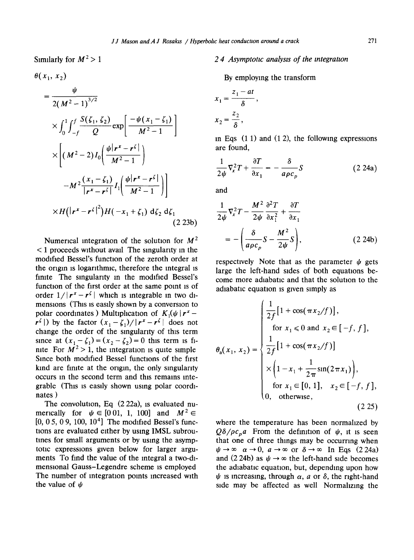$$
\theta(x_1, x_2)
$$
\n
$$
= \frac{\psi}{2(M^2 - 1)^{3/2}}
$$
\n
$$
\times \int_0^1 \int_{-f}^f \frac{S(\zeta_1, \zeta_2)}{Q} \exp\left[\frac{-\psi(x_1 - \zeta_1)}{M^2 - 1}\right]
$$
\n
$$
\times \left[ (M^2 - 2)I_0 \left( \frac{\psi |r^x - r^{\zeta}|}{M^2 - 1} \right) - M^2 \frac{(x_1 - \zeta_1)}{|r^x - r^{\zeta}|} I_1 \left( \frac{\psi |r^x - r^{\zeta}|}{M^2 - 1} \right) \right]
$$
\n
$$
\times H(|r^x - r^{\zeta}|^2) H(-x_1 + \zeta_1) d\zeta_2 d\zeta_1
$$
\n(2.23b)

Numerical integration of the solution for  $M^2$ < 1 proceeds without avail The singularity in the modified Bessel's function of the zeroth order at the origin is logarithmic, therefore the integral is finite The singularity in the modified Bessel's function of the first order at the same point is of order  $1/|\mathbf{r}^x - \mathbf{r}^{\zeta}|$  which is integrable in two dimensions (This is easily shown by a conversion to polar coordinates) Multiplication of  $K_1(\psi | r^x$  $r^{\zeta}$ ) by the factor  $(x_1 - \zeta_1)/|r^x - r^{\zeta}|$  does not change the order of the singularity of this term since at  $(x_1 - \zeta_1) = (x_2 - \zeta_2) = 0$  this term is finite For  $M^2 > 1$ , the integration is quite simple Since both modified Bessel functions of the first kind are finite at the origin, the only singularity occurs in the second term and this remains integrable (This is easily shown using polar coordinates )

The convolution, Eq (2 22a), is evaluated numerically for  $\psi \in [0 \ 01, 1, 100]$  and  $M^2 \in$  $[0, 0.5, 0.9, 100, 10<sup>4</sup>]$  The modified Bessel's functions are evaluated either by using IMSL subroutines for small arguments or by using the asymptotic expressions given below for larger arguments To find the value of the integral a two-dimensional Gauss-Legendre scheme is employed The number of integration points increased with the value of  $\psi$ 

# Similarly for  $M^2 > 1$  24 Asymptotic analysis of the integration

By employing the transform

$$
x_1 = \frac{z_1 - at}{\delta},
$$
  

$$
x_2 = \frac{z_2}{\delta},
$$

in Eqs  $(1 1)$  and  $(1 2)$ , the following expressions are found,

$$
\frac{1}{2\psi}\nabla_x^2 T + \frac{\partial T}{\partial x_1} = -\frac{\delta}{a\rho c_p}S
$$
 (2.24a)

and

$$
\frac{1}{2\psi}\nabla_x^2 T - \frac{M^2}{2\psi}\frac{\partial^2 T}{\partial x_1^2} + \frac{\partial T}{\partial x_1}
$$
  
= 
$$
-\left(\frac{\delta}{a\rho c_\rho}S - \frac{M^2}{2\psi}S\right),
$$
 (2.24b)

respectively Note that as the parameter  $\psi$  gets large the left-hand sides of both equations become more adiabatic and that the solution to the adiabatic equation is given simply as

$$
\theta_{a}(x_{1}, x_{2}) = \begin{cases}\n\frac{1}{2f} [1 + \cos(\pi x_{2}/f)], & \text{for } x_{1} \leq 0 \text{ and } x_{2} \in [-f, f], \\
\frac{1}{2f} [1 + \cos(\pi x_{2}/f)] & \times \left(1 - x_{1} + \frac{1}{2\pi} \sin(2\pi x_{1})\right), \\
\text{for } x_{1} \in [0, 1], \quad x_{2} \in [-f, f], \\
0, \text{ otherwise},\n\end{cases}
$$
\n(2.25)

where the temperature has been normalized by  $Q\delta/\rho c_n a$  From the definition of  $\psi$ , it is seen that one of three things may be occurring when  $\psi \to \infty$   $\alpha \to 0$ ,  $\alpha \to \infty$  or  $\delta \to \infty$  In Eqs (224a) and (2.24b) as  $\psi \rightarrow \infty$  the left-hand side becomes the adiabatic equation, but, depending upon how  $\psi$  is increasing, through  $\alpha$ , a or  $\delta$ , the right-hand side may be affected as well Normalizing the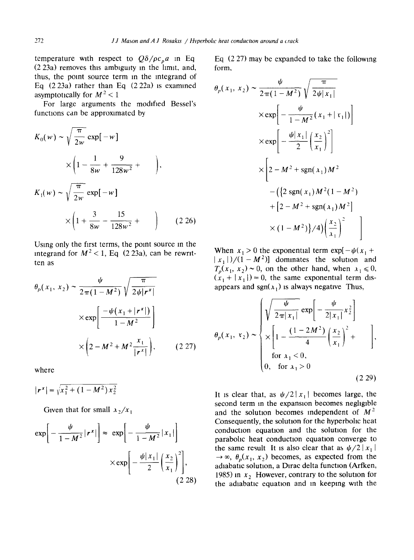temperature with respect to  $Q\delta/\rho c_p a$  in Eq (2 23a) removes this ambiguity in the limit, and, thus, the point source term in the mtegrand of Eq  $(2\ 23a)$  rather than Eq  $(2\ 22a)$  is examined asymptotically for  $M^2 < 1$ 

For large arguments the modified Bessel's functions can be approximated by

$$
K_0(w) \sim \sqrt{\frac{\pi}{2w}} \exp[-w]
$$
  
\n
$$
\times \left(1 - \frac{1}{8w} + \frac{9}{128w^2} + \right),
$$
  
\n
$$
K_1(w) \sim \sqrt{\frac{\pi}{2w}} \exp[-w]
$$
  
\n
$$
\times \left(1 + \frac{3}{8w} - \frac{15}{128w^2} + \right) \qquad (2.26)
$$

Using only the first terms, the point source in the integrand for  $M^2 < 1$ , Eq (2.23a), can be rewritten as

$$
\theta_p(x_1, x_2) \sim \frac{\psi}{2\pi(1 - M^2)} \sqrt{\frac{\pi}{2\psi |r^x|}}
$$

$$
\times \exp\left[\frac{-\psi(x_1 + |r^x|)}{1 - M^2}\right]
$$

$$
\times \left(2 - M^2 + M^2 \frac{x_1}{|r^x|}\right), \qquad (2.27)
$$

where

$$
|\mathbf{r}^x| = \sqrt{x_1^2 + (1 - M^2)x_2^2}
$$

Given that for small  $x_2/x_1$ 

$$
\exp\left[-\frac{\psi}{1-M^2}|\mathbf{r}^x|\right] \approx \exp\left[-\frac{\psi}{1-M^2}|x_1|\right]
$$

$$
\times \exp\left[-\frac{\psi|x_1|}{2}\left(\frac{x_2}{x_1}\right)^2\right],\tag{2.28}
$$

Eq (2 27) may be expanded to take the following form,

$$
\theta_p(x_1, x_2) \sim \frac{\psi}{2\pi(1 - M^2)} \sqrt{\frac{\pi}{2\psi |x_1|}}\n\times \exp\left[-\frac{\psi}{1 - M^2}(x_1 + |x_1|)\right]\n\times \exp\left[-\frac{\psi |x_1|}{2}\left(\frac{x_2}{x_1}\right)^2\right]\n\times \left[2 - M^2 + \text{sgn}(x_1)M^2 - (\{2 \text{ sgn}(x_1)M^2(1 - M^2)\n+ [2 - M^2 + \text{sgn}(x_1)M^2]\n\times (1 - M^2)\}/4)\left(\frac{x_2}{x_1}\right)^2\right]
$$

When  $x_1 > 0$  the exponential term  $\exp[-\psi(x_1 +$  $|x_1|/((1-M^2))$  dominates the solution and  $T_p(x_1, x_2) \sim 0$ , on the other hand, when  $x_1 \le 0$ ,  $(x_1 + |x_1|) = 0$ , the same exponential term disappears and sgn( $x_1$ ) is always negative Thus,

$$
\theta_p(x_1, x_2) \sim \begin{cases} \sqrt{\frac{\psi}{2\pi |x_1|}} \exp\left[-\frac{\psi}{2|x_1|} x_2^2\right] \\ \times \left[1 - \frac{(1 - 2M^2)}{4} \left(\frac{x_2}{x_1}\right)^2 + \right], \\ \text{for } x_1 < 0, \\ 0, \text{ for } x_1 > 0 \end{cases}
$$
 (2.29)

It is clear that, as  $\psi/2|x_1|$  becomes large, the second term in the expansion becomes negligible and the solution becomes independent of  $M<sup>2</sup>$ Consequently, the solution for the hyperbohc heat conduction equation and the solution for the parabolic heat conduction equation converge to the same result It is also clear that as  $\psi/2|x_1|$  $\rightarrow \infty$ ,  $\theta_p(x_1, x_2)$  becomes, as expected from the adiabatic solution, a Dlrac delta function (Arfken, 1985) in  $x_2$  However, contrary to the solution for the adiabatic equation and in keeping with the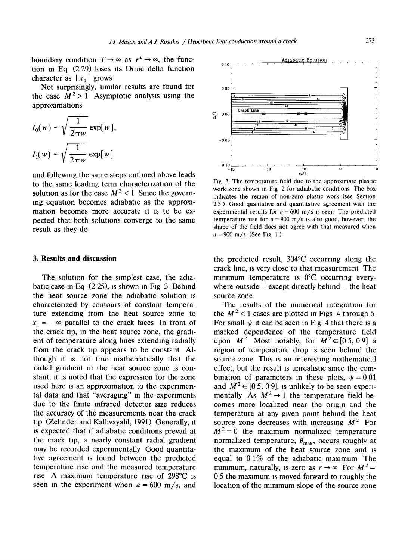boundary condition  $T \to \infty$  as  $r^x \to \infty$ , the function in Eq  $(2 29)$  loses its Dirac delta function character as  $|x_1|$  grows

Not surprisingly, similar results are found for the case  $M^2 > 1$  Asymptotic analysis using the approximations

$$
I_0(w) \sim \sqrt{\frac{1}{2\pi w}} \exp[w],
$$
  

$$
I_1(w) \sim \sqrt{\frac{1}{2\pi w}} \exp[w]
$$

and following the same steps outlined above leads to the same leading term characterization of the solution as for the case  $M^2 < 1$  Since the governing equation becomes adiabatic as the approximation becomes more accurate it is to be expected that both solutions converge to the same result as they do

### **3. Results and discussion**

The solution for the simplest case, the adiabatic case in Eq  $(2 25)$ , is shown in Fig 3 Behind the heat source zone the adiabatic solution is characterized by contours of constant temperature extending from the heat source zone to  $x_1 = -\infty$  parallel to the crack faces In front of the crack tip, in the heat source zone, the gradient of temperature along lines extending radially from the crack tip appears to be constant Although it is not true mathematically that the radial gradient in the heat source zone is constant, it is noted that the expression for the zone used here is an approximation to the experimental data and that "averaging" in the experiments due to the finite infrared detector size reduces the accuracy of the measurements near the crack tip (Zehnder and Kalhvayahl, 1991) Generally, it is expected that if adiabatic conditions prevail at the crack tip, a nearly constant radial gradient may be recorded experimentally Good quantitative agreement is found between the predicted temperature rise and the measured temperature rise A maximum temperature rise of 298°C is seen in the experiment when  $a = 600$  m/s, and



Fig 3 The temperature field due to the approximate plastic work zone shown in Fig 2 for adiabatic conditions. The box indicates the region of non-zero plastic work (see Section 23) Good qualitative and quantitative agreement with the experimental results for  $a = 600$  m/s is seen. The predicted temperature rise for  $a = 900$  m/s is also good, however, the shape of the field does not agree with that measured when  $a = 900$  m/s (See Fig 1)

the predicted result, 304°C occurring along the crack hne, IS very close to that measurement The minimum temperature is  $0^{\circ}$ C occurring everywhere outside  $-$  except directly behind  $-$  the heat source zone

The results of the numerical integration for the  $M^2$  < 1 cases are plotted in Figs 4 through 6 For small  $\psi$  it can be seen in Fig 4 that there is a marked dependence of the temperature field upon  $M^2$  Most notably, for  $M^2 \in [0, 5, 0, 9]$  a region of temperature drop is seen behind the source zone This is an interesting mathematical effect, but the result is unrealistic since the combination of parameters in these plots,  $\psi = 0.01$ and  $M^2 \in [0, 5, 0, 9]$ , is unlikely to be seen experimentally As  $M^2 \rightarrow 1$  the temperature field becomes more localized near the origin and the temperature at any given point behind the heat source zone decreases with increasing  $M^2$  For  $M^2=0$  the maximum normalized temperature normalized temperature,  $\theta_{\text{max}}$ , occurs roughly at the maximum of the heat source zone and is equal to  $0.1\%$  of the adiabatic maximum The minimum, naturally, is zero as  $r \to \infty$  For  $M^2 =$ 0 5 the maximum is moved forward to roughly the location of the minimum slope of the source zone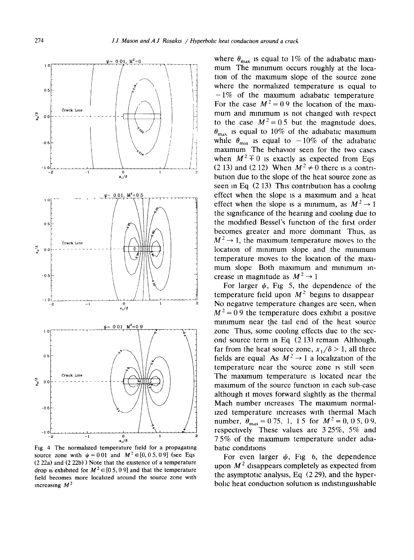

Fig 4 The normalized temperature field for a propagating source zone with  $\psi = 0.01$  and  $M^2 \in [0, 0.5, 0.9]$  (see Eqs (2 22a) and (222b) ) Note that the existence of a temperature drop is exhibited for  $M^2 \in [0, 5, 0, 9]$  and that the temperature field becomes more localized around the source zone with increasing  $M^2$ 

where  $\theta_{\text{max}}$  is equal to 1% of the adiabatic maximum The minimum occurs roughly at the location of the maxamum slope of the source zone where the normalized temperature is equal to **-1%** of the maximum adiabatic temperature For the case  $M^2 = 0.9$  the location of the maximum and minimum is not changed with respect to the case  $M^2 = 0.5$  but the magnitude does.  $\theta_{\text{max}}$  is equal to 10% of the adiabatic maximum while  $\theta_{\text{min}}$  is equal to  $-10\%$  of the adiabatic maximum The behavior seen for the two cases when  $M^2 \pm 0$  is exactly as expected from Eqs (2 13) and (2 12) When  $M^2 \neq 0$  there is a contribution due to the slope of the heat source zone as seen in Eq  $(2 13)$  This contribution has a cooling effect when the slope is a maxtmum and a heat effect when the slope is a minimum, as  $M^2 \rightarrow 1$ the significance of the hearing and cooling due to the modified Bessel's function of the first order becomes greater and more dominant Thus, as  $M^2 \rightarrow 1$ , the maximum temperature moves to the location of minimum slope and the minimum temperature moves to the locatton of the maximum slope Both maximum and minimum increase in magnitude as  $M^2 \rightarrow 1$ 

For larger  $\psi$ , Fig 5, the dependence of the temperature field upon  $M<sup>2</sup>$  begins to disappear No negative temperature changes are seen, when  $M^2$  = 0.9 the temperature does exhibit a positive minimum near the tall end of the heat source zone Thus, some cooling effects due to the second source term in Eq (2 13) remain Although, far from the heat source zone,  $x_1/\delta > 1$ , all three fields are equal As  $M^2 \rightarrow 1$  a localization of the temperature near the source zone is stlll seen The maximum temperature is located near the maximum of the source function in each sub-case although it moves forward slightly as the thermal Mach number increases The maximum normallzed temperature increases with thermal Mach number,  $\theta_{\text{max}} = 0.75$ , 1, 15 for  $M^2 = 0$ , 05, 09, respectively These values are 3 25%, 5% and 7 5% of the maximum temperature under adiabatic conditions

For even larger  $\psi$ , Fig 6, the dependence upon  $M<sup>2</sup>$  disappears completely as expected from the asymptotic analysis, Eq (2 29), and the hyperbolic heat conduction solution is indistinguishable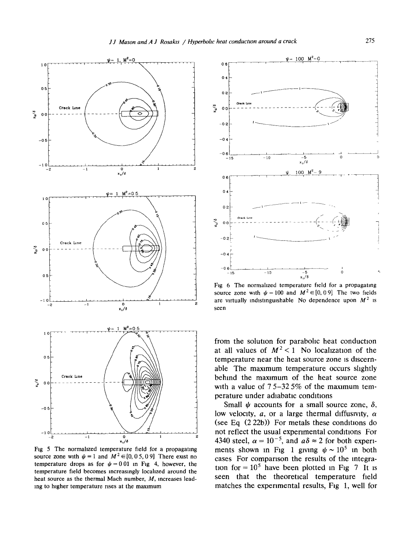

**Fig 5 The normahzed temperature field for a propagating source zone with**  $\psi = 1$  **and**  $M^2 \in [0, 0.5, 0.9]$  **There exist no temperature drops as for**  $\psi = 0.01$  **in Fig 4, however, the temperature field becomes increasingly locahzed around the heat source as the thermal Mach number,** *M,* **increases leadmg to higher temperature rises at the maximum** 



**Fig 6 The normahzed temperature field for a propagating**  source zone with  $\psi = 100$  and  $M^2 \in [0, 0.9]$  The two fields are virtually indistinguishable No dependence upon  $M^2$  is **seen** 

**from the solutton for parabohc heat conduction**  at all values of  $M^2 < 1$  No localization of the **temperature near the heat source zone Is discernable The maxtmum temperature occurs shghtly**  behind the maximum of the heat source zone **with a value of 7 5-32 5% of the maximum temperature under adiabatic conditions** 

Small  $\psi$  accounts for a small source zone,  $\delta$ , low velocity,  $a$ , or a large thermal diffusivity,  $\alpha$ (see Eq  $(2 22b)$ ) For metals these conditions do not reflect the usual experimental conditions For 4340 steel,  $\alpha = 10^{-5}$ , and  $a\delta \approx 2$  for both experiments shown in Fig 1 giving  $\psi \sim 10^5$  in both **cases For comparison the results of the integra**tion for  $= 10^5$  have been plotted in Fig 7 It is **seen that the theoretical temperature field matches the experimental results, Fig 1, well for**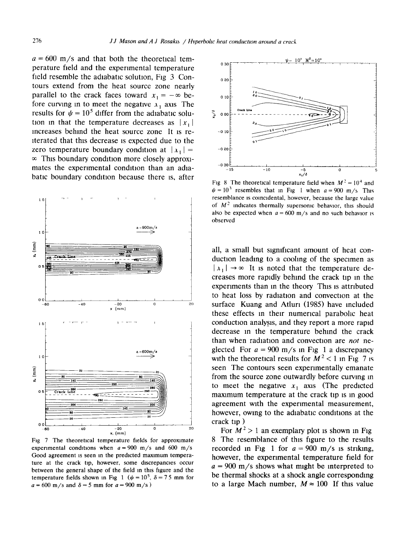$a = 600$  m/s and that both the theoretical temperature field and the experimental temperature field resemble the adiabatic solution, Fig 3 Contours extend from the heat source zone nearly parallel to the crack faces toward  $x_1 = -\infty$  before curving in to meet the negative  $x_1$  axis The results for  $\psi = 10^5$  differ from the adiabatic solution in that the temperature decreases as  $|x_1|$ increases behind the heat source zone It is reiterated that this decrease is expected due to the zero temperature boundary condition at  $|x_1|$  =  $\infty$  This boundary condition more closely approximates the experimental condition than an adiabatic boundary condition because there is, after



Fig 7 The theoretical temperature fields for approximate experimental conditions when  $a = 900$  m/s and 600 m/s Good agreement is seen in the predicted maximum temperature at the crack tip, however, some discrepancies occur between the general shape of the field m this figure and the temperature fields shown in Fig 1 ( $\psi = 10^5$ ,  $\delta = 75$  mm for  $a = 600$  m/s and  $\delta = 5$  mm for  $a = 900$  m/s)



Fig 8 The theoretical temperature field when  $M^2 = 10^4$  and  $\psi = 10^3$  resembles that in Fig 1 when  $a = 900$  m/s This resemblance is coincidental, however, because the large value of  $M<sup>2</sup>$  indicates thermally supersonic behavior, this should also be expected when  $a = 600$  m/s and no such behavior is observed

all, a small but significant amount of heat conduction leading to a cooling of the specimen as  $|x_1| \rightarrow \infty$  It is noted that the temperature decreases more rapidly behind the crack tip in the experiments than in the theory This is attributed to heat loss by radiation and convection at the surface Kuang and Atluri (1985) have included these effects in their numerical parabolic heat conduction analysis, and they report a more rapid decrease in the temperature behind the crack than when radiation and convection are *not* neglected For  $a = 900$  m/s in Fig 1 a discrepancy with the theoretical results for  $M^2 < 1$  in Fig 7 is seen The contours seen experimentally emanate from the source zone outwardly before curving in to meet the negative  $x_1$  axis (The predicted maximum temperature at the crack tip is in good agreement with the experimental measurement, however, owing to the adiabatic conditions at the crack tip )

For  $M^2 > 1$  an exemplary plot is shown in Fig 8 The resemblance of this figure to the results recorded in Fig 1 for  $a = 900$  m/s is striking, however, the experimental temperature field for  $a = 900$  m/s shows what might be interpreted to be thermal shocks at a shock angle corresponding to a large Mach number,  $M \approx 100$  If this value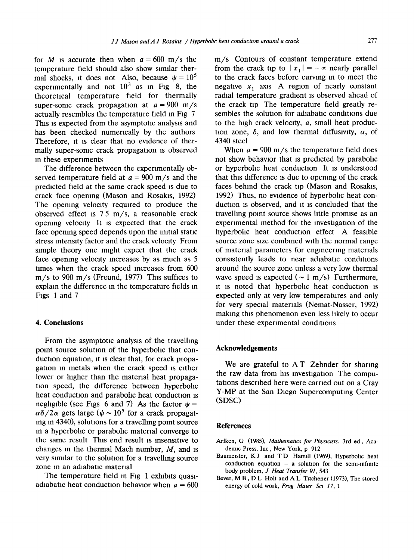for M is accurate then when  $a = 600$  m/s the temperature field should also show similar thermal shocks, it does not Also, because  $\psi = 10^5$ experimentally and not  $10^3$  as in Fig 8, the theoretical temperature field for thermally super-some crack propagation at  $a = 900$  m/s actually resembles the temperature field in Fig 7 This is expected from the asymptotic analysis and has been checked numerically by the authors Therefore, it is clear that no evidence of thermally super-sonic crack propagation is observed in these experiments

The difference between the experimentally observed temperature field at  $a = 900$  m/s and the predicted field at the same crack speed is due to crack face opening (Mason and Rosakts, 1992) The opening velocity required to produce the observed effect is  $75 \text{ m/s}$ , a reasonable crack opening velocity It is expected that the crack face opening speed depends upon the initial static stress intensity factor and the crack velocity From simple theory one might expect that the crack face opening velocity mcreases by as much as 5 times when the crack speed increases from 600 m/s to 900 m/s (Freund, 1977) This suffices to explain the difference in the temperature fields in Figs 1 and 7

### **4. Conclusions**

From the asymptotic analysis of the travelhng point source solution of the hyperbolic that conduction equation, it is clear that, for crack propagation m metals when the crack speed is either lower or higher than the material heat propagation speed, the difference between hyperbolic heat conduction and parabohc heat conduction is negligible (see Figs 6 and 7) As the factor  $\psi =$  $\alpha\delta/2\alpha$  gets large ( $\psi \sim 10^5$  for a crack propagat-Ing In 4340), solutions for a travelling point source in a hyperbohc or parabohc material converge to the same result This end result Is insensitive to changes in the thermal Mach number,  $M$ , and is very similar to the solution for a travelling source zone in an adiabatic material

The temperature field in Fig 1 exhibits quasiadiabatic heat conduction behavior when  $a = 600$  m/s Contours of constant temperature extend from the crack tip to  $|x_1| = -\infty$  nearly parallel to the crack faces before curving In to meet the negative  $x_1$  axis A region of nearly constant radial temperature gradient is observed ahead of the crack tip The temperature field greatly resembles the solution for adiabatic conditions due to the high crack velocity,  $a$ , small heat production zone,  $\delta$ , and low thermal diffusivity,  $\alpha$ , of 4340 steel

When  $a = 900$  m/s the temperature field does not show behavior that is predicted by parabohc or hyperbolic heat conduction It is understood that this difference is due to opening of the crack faces behind the crack tip (Mason and Rosakls, 1992) Thus, no evidence of hyperbohc heat conduction is observed, and it is concluded that the travelhng point source shows little promise as an experimental method for the investigation of the hyperbolic heat conduction effect A feasible source zone size combined with the normal range of material parameters for engineering materials consistently leads to near adiabatic conditions around the source zone unless a very low thermal wave speed is expected  $({\sim}1 \text{ m/s})$  Furthermore, It is noted that hyperbolic heat conduction is expected only at very low temperatures and only for very special materials (Nemat-Nasser, 1992) making this phenomenon even less hkely to occur under these experimental conditions

### **Acknowledgements**

We are grateful to AT Zehnder for sharing the raw data from his investigation The computations described here were carried out on a Cray Y-MP at the San Diego Supercomputing Center (SDSC)

#### **References**

- Arfken, G (1985), *Mathematics for Physicists*, 3rd ed, Academic Press, Inc, New York, p 912
- Baumeister, K J and T D Hamill (1969), Hyperbolic heat conduction equation  $-$  a solution for the semi-infinite body problem, *J Heat Transfer 91,543*
- Bever, M B, D L Holt and A L Tttchener (1973), The stored energy of cold work, *Prog Mater Sct 17, 1*